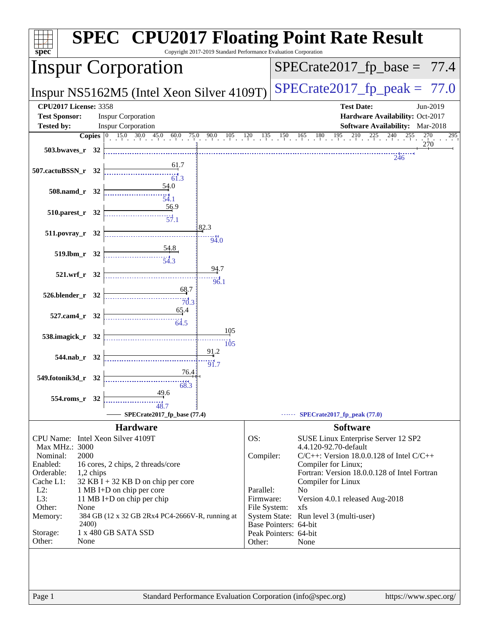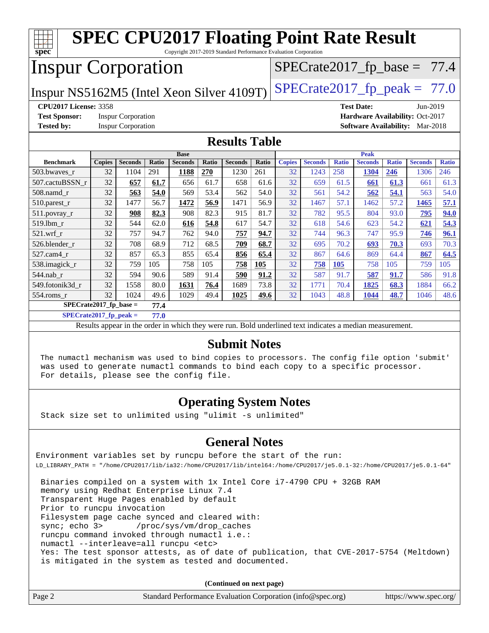| <b>SPEC CPU2017 Floating Point Rate Result</b><br>spec<br>Copyright 2017-2019 Standard Performance Evaluation Corporation |               |                |       |                |              |                |       |               |                |              |                |                                |                |              |
|---------------------------------------------------------------------------------------------------------------------------|---------------|----------------|-------|----------------|--------------|----------------|-------|---------------|----------------|--------------|----------------|--------------------------------|----------------|--------------|
| <b>Inspur Corporation</b>                                                                                                 |               |                |       |                |              |                |       |               |                |              |                | $SPECrate2017_fp\_base = 77.4$ |                |              |
| $SPECTate2017_fp\_peak = 77.0$<br>Inspur NS5162M5 (Intel Xeon Silver 4109T)                                               |               |                |       |                |              |                |       |               |                |              |                |                                |                |              |
| <b>CPU2017 License: 3358</b><br><b>Test Date:</b><br>Jun-2019                                                             |               |                |       |                |              |                |       |               |                |              |                |                                |                |              |
| <b>Test Sponsor:</b><br><b>Inspur Corporation</b><br>Hardware Availability: Oct-2017                                      |               |                |       |                |              |                |       |               |                |              |                |                                |                |              |
| <b>Tested by:</b><br><b>Inspur Corporation</b><br><b>Software Availability:</b> Mar-2018                                  |               |                |       |                |              |                |       |               |                |              |                |                                |                |              |
| <b>Results Table</b>                                                                                                      |               |                |       |                |              |                |       |               |                |              |                |                                |                |              |
|                                                                                                                           | <b>Base</b>   |                |       |                |              |                |       | <b>Peak</b>   |                |              |                |                                |                |              |
| <b>Benchmark</b>                                                                                                          | <b>Copies</b> | <b>Seconds</b> | Ratio | <b>Seconds</b> | <b>Ratio</b> | <b>Seconds</b> | Ratio | <b>Copies</b> | <b>Seconds</b> | <b>Ratio</b> | <b>Seconds</b> | <b>Ratio</b>                   | <b>Seconds</b> | <b>Ratio</b> |
| 503.bwaves_r                                                                                                              | 32            | 1104           | 291   | 1188           | 270          | 1230           | 261   | 32            | 1243           | 258          | 1304           | 246                            | 1306           | 246          |
| 507.cactuBSSN r                                                                                                           | 32            | 657            | 61.7  | 656            | 61.7         | 658            | 61.6  | 32            | 659            | 61.5         | 661            | 61.3                           | 661            | 61.3         |
| $508$ .namd $r$                                                                                                           | 32            | 563            | 54.0  | 569            | 53.4         | 562            | 54.0  | 32            | 561            | 54.2         | 562            | 54.1                           | 563            | 54.0         |
| $510.parest_r$                                                                                                            | 32            | 1477           | 56.7  | 1472           | 56.9         | 1471           | 56.9  | 32            | 1467           | 57.1         | 1462           | 57.2                           | 1465           | 57.1         |
| 511.povray_r                                                                                                              | 32            | 908            | 82.3  | 908            | 82.3         | 915            | 81.7  | 32            | 782            | 95.5         | 804            | 93.0                           | 795            | 94.0         |
| 519.lbm r                                                                                                                 | 32            | 544            | 62.0  | 616            | 54.8         | 617            | 54.7  | 32            | 618            | 54.6         | 623            | 54.2                           | 621            | 54.3         |
| 521.wrf r                                                                                                                 | 32            | 757            | 94.7  | 762            | 94.0         | 757            | 94.7  | 32            | 744            | 96.3         | 747            | 95.9                           | 746            | 96.1         |
| 526.blender r                                                                                                             | 32            | 708            | 68.9  | 712            | 68.5         | 709            | 68.7  | 32            | 695            | 70.2         | 693            | 70.3                           | 693            | 70.3         |
| 527.cam4 r                                                                                                                | 32            | 857            | 65.3  | 855            | 65.4         | 856            | 65.4  | 32            | 867            | 64.6         | 869            | 64.4                           | 867            | 64.5         |
| 538.imagick_r                                                                                                             | 32            | 759            | 105   | 758            | 105          | 758            | 105   | 32            | 758            | 105          | 758            | 105                            | 759            | 105          |
| 544.nab r                                                                                                                 | 32            | 594            | 90.6  | 589            | 91.4         | 590            | 91.2  | 32            | 587            | 91.7         | 587            | 91.7                           | 586            | 91.8         |
| 549.fotonik3d r                                                                                                           | 32            | 1558           | 80.0  | 1631           | 76.4         | 1689           | 73.8  | 32            | 1771           | 70.4         | 1825           | 68.3                           | 1884           | 66.2         |
| 554.roms r                                                                                                                | 32            | 1024           | 49.6  | 1029           | 49.4         | 1025           | 49.6  | 32            | 1043           | 48.8         | 1044           | 48.7                           | 1046           | 48.6         |
| $SPECrate2017_fp\_base =$<br>77.4                                                                                         |               |                |       |                |              |                |       |               |                |              |                |                                |                |              |
| $SPECrate2017$ fp peak =<br>77.0                                                                                          |               |                |       |                |              |                |       |               |                |              |                |                                |                |              |

Results appear in the [order in which they were run.](http://www.spec.org/auto/cpu2017/Docs/result-fields.html#RunOrder) Bold underlined text [indicates a median measurement.](http://www.spec.org/auto/cpu2017/Docs/result-fields.html#Median)

#### **[Submit Notes](http://www.spec.org/auto/cpu2017/Docs/result-fields.html#SubmitNotes)**

 The numactl mechanism was used to bind copies to processors. The config file option 'submit' was used to generate numactl commands to bind each copy to a specific processor. For details, please see the config file.

### **[Operating System Notes](http://www.spec.org/auto/cpu2017/Docs/result-fields.html#OperatingSystemNotes)**

Stack size set to unlimited using "ulimit -s unlimited"

### **[General Notes](http://www.spec.org/auto/cpu2017/Docs/result-fields.html#GeneralNotes)**

Environment variables set by runcpu before the start of the run: LD\_LIBRARY\_PATH = "/home/CPU2017/lib/ia32:/home/CPU2017/lib/intel64:/home/CPU2017/je5.0.1-32:/home/CPU2017/je5.0.1-64"

 Binaries compiled on a system with 1x Intel Core i7-4790 CPU + 32GB RAM memory using Redhat Enterprise Linux 7.4 Transparent Huge Pages enabled by default Prior to runcpu invocation Filesystem page cache synced and cleared with: sync; echo 3> /proc/sys/vm/drop\_caches runcpu command invoked through numactl i.e.: numactl --interleave=all runcpu <etc> Yes: The test sponsor attests, as of date of publication, that CVE-2017-5754 (Meltdown) is mitigated in the system as tested and documented.

**(Continued on next page)**

| Page 2<br>Standard Performance Evaluation Corporation (info@spec.org)<br>https://www.spec.org/ |
|------------------------------------------------------------------------------------------------|
|------------------------------------------------------------------------------------------------|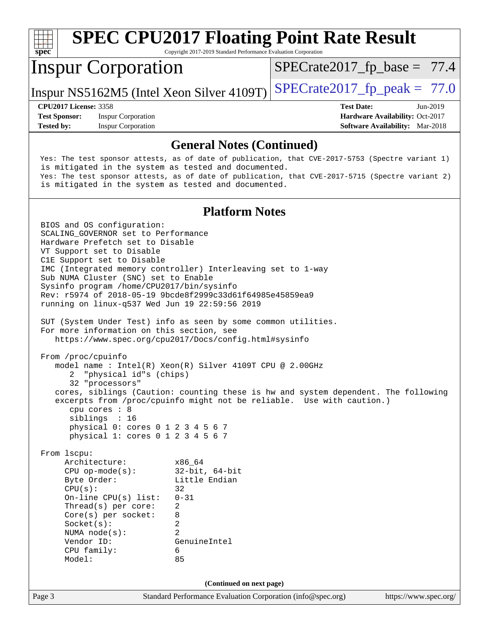

**(Continued on next page)**

Page 3 Standard Performance Evaluation Corporation [\(info@spec.org\)](mailto:info@spec.org) <https://www.spec.org/>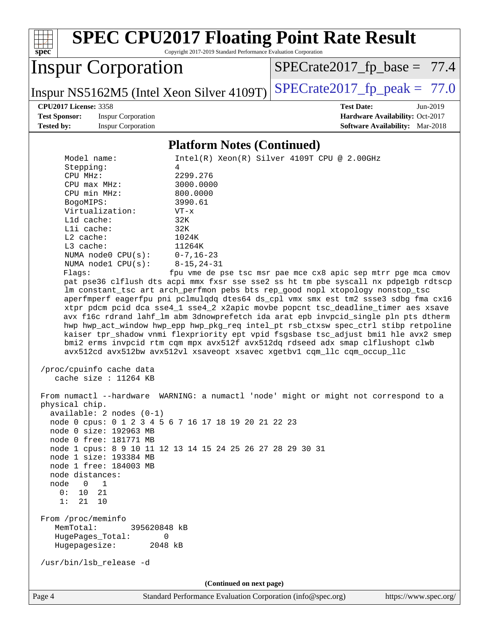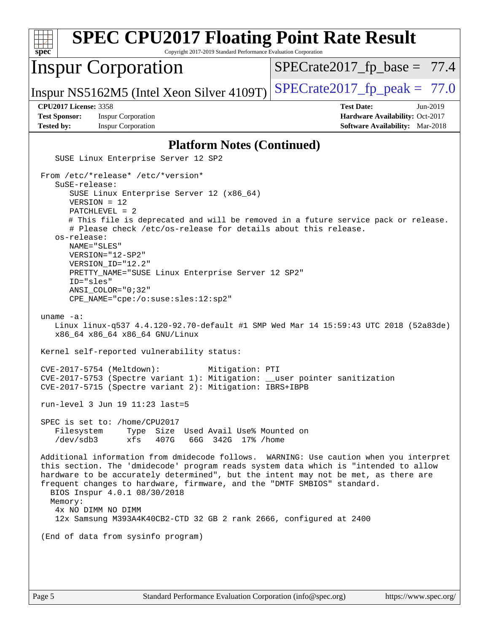| <b>SPEC CPU2017 Floating Point Rate Result</b><br>Copyright 2017-2019 Standard Performance Evaluation Corporation<br>spec <sup>®</sup>                                                                                                                                                                                                                                                                                                                                                |                                                                                                            |  |  |  |  |  |
|---------------------------------------------------------------------------------------------------------------------------------------------------------------------------------------------------------------------------------------------------------------------------------------------------------------------------------------------------------------------------------------------------------------------------------------------------------------------------------------|------------------------------------------------------------------------------------------------------------|--|--|--|--|--|
| <b>Inspur Corporation</b>                                                                                                                                                                                                                                                                                                                                                                                                                                                             | $SPECrate2017_fp\_base = 77.4$                                                                             |  |  |  |  |  |
| Inspur NS5162M5 (Intel Xeon Silver 4109T)                                                                                                                                                                                                                                                                                                                                                                                                                                             | $SPECrate2017_fp\_peak = 77.0$                                                                             |  |  |  |  |  |
| <b>CPU2017 License: 3358</b><br><b>Test Sponsor:</b><br><b>Inspur Corporation</b><br><b>Tested by:</b><br><b>Inspur Corporation</b>                                                                                                                                                                                                                                                                                                                                                   | <b>Test Date:</b><br>Jun-2019<br>Hardware Availability: Oct-2017<br><b>Software Availability:</b> Mar-2018 |  |  |  |  |  |
| <b>Platform Notes (Continued)</b>                                                                                                                                                                                                                                                                                                                                                                                                                                                     |                                                                                                            |  |  |  |  |  |
| SUSE Linux Enterprise Server 12 SP2                                                                                                                                                                                                                                                                                                                                                                                                                                                   |                                                                                                            |  |  |  |  |  |
| From /etc/*release* /etc/*version*<br>SuSE-release:<br>SUSE Linux Enterprise Server 12 (x86_64)<br>$VERSION = 12$<br>PATCHLEVEL = 2<br># This file is deprecated and will be removed in a future service pack or release.<br># Please check /etc/os-release for details about this release.<br>os-release:<br>NAME="SLES"<br>VERSION="12-SP2"<br>VERSION_ID="12.2"                                                                                                                    |                                                                                                            |  |  |  |  |  |
| PRETTY_NAME="SUSE Linux Enterprise Server 12 SP2"<br>ID="sles"<br>$ANSI\_COLOR = "0; 32"$<br>CPE_NAME="cpe:/o:suse:sles:12:sp2"                                                                                                                                                                                                                                                                                                                                                       |                                                                                                            |  |  |  |  |  |
| uname $-a$ :<br>Linux linux-q537 4.4.120-92.70-default #1 SMP Wed Mar 14 15:59:43 UTC 2018 (52a83de)<br>x86_64 x86_64 x86_64 GNU/Linux                                                                                                                                                                                                                                                                                                                                                |                                                                                                            |  |  |  |  |  |
| Kernel self-reported vulnerability status:                                                                                                                                                                                                                                                                                                                                                                                                                                            |                                                                                                            |  |  |  |  |  |
| CVE-2017-5754 (Meltdown):<br>Mitigation: PTI<br>CVE-2017-5753 (Spectre variant 1): Mitigation: __user pointer sanitization<br>CVE-2017-5715 (Spectre variant 2): Mitigation: IBRS+IBPB                                                                                                                                                                                                                                                                                                |                                                                                                            |  |  |  |  |  |
| run-level $3$ Jun $19$ $11:23$ last=5                                                                                                                                                                                                                                                                                                                                                                                                                                                 |                                                                                                            |  |  |  |  |  |
| SPEC is set to: /home/CPU2017<br>Type Size Used Avail Use% Mounted on<br>Filesystem<br>/dev/sdb3<br>xfs<br>407G<br>66G 342G 17% / home                                                                                                                                                                                                                                                                                                                                                |                                                                                                            |  |  |  |  |  |
| Additional information from dmidecode follows. WARNING: Use caution when you interpret<br>this section. The 'dmidecode' program reads system data which is "intended to allow<br>hardware to be accurately determined", but the intent may not be met, as there are<br>frequent changes to hardware, firmware, and the "DMTF SMBIOS" standard.<br>BIOS Inspur 4.0.1 08/30/2018<br>Memory:<br>4x NO DIMM NO DIMM<br>12x Samsung M393A4K40CB2-CTD 32 GB 2 rank 2666, configured at 2400 |                                                                                                            |  |  |  |  |  |
| (End of data from sysinfo program)                                                                                                                                                                                                                                                                                                                                                                                                                                                    |                                                                                                            |  |  |  |  |  |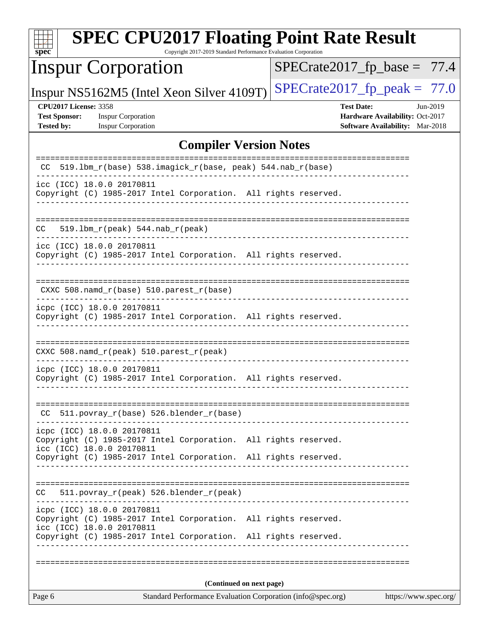| $spec^*$                                                                  | <b>SPEC CPU2017 Floating Point Rate Result</b>                                                                                                                                                | Copyright 2017-2019 Standard Performance Evaluation Corporation |  |                                                                                                |                       |
|---------------------------------------------------------------------------|-----------------------------------------------------------------------------------------------------------------------------------------------------------------------------------------------|-----------------------------------------------------------------|--|------------------------------------------------------------------------------------------------|-----------------------|
|                                                                           | <b>Inspur Corporation</b>                                                                                                                                                                     |                                                                 |  | $SPECrate2017_fp\_base = 77.4$                                                                 |                       |
|                                                                           | Inspur NS5162M5 (Intel Xeon Silver 4109T)                                                                                                                                                     |                                                                 |  | $SPECTate2017$ _fp_peak = 77.0                                                                 |                       |
| <b>CPU2017 License: 3358</b><br><b>Test Sponsor:</b><br><b>Tested by:</b> | <b>Inspur Corporation</b><br><b>Inspur Corporation</b>                                                                                                                                        |                                                                 |  | <b>Test Date:</b><br>Hardware Availability: Oct-2017<br><b>Software Availability:</b> Mar-2018 | Jun-2019              |
|                                                                           |                                                                                                                                                                                               | <b>Compiler Version Notes</b>                                   |  |                                                                                                |                       |
| CC.                                                                       | 519.1bm_r(base) 538.imagick_r(base, peak) 544.nab_r(base)                                                                                                                                     |                                                                 |  | ======================                                                                         |                       |
|                                                                           | icc (ICC) 18.0.0 20170811<br>Copyright (C) 1985-2017 Intel Corporation. All rights reserved.                                                                                                  |                                                                 |  |                                                                                                |                       |
| CC.                                                                       | 519.1bm_r(peak) 544.nab_r(peak)                                                                                                                                                               |                                                                 |  |                                                                                                |                       |
|                                                                           | icc (ICC) 18.0.0 20170811<br>Copyright (C) 1985-2017 Intel Corporation. All rights reserved.                                                                                                  |                                                                 |  |                                                                                                |                       |
|                                                                           | CXXC 508.namd_r(base) 510.parest_r(base)<br>-------------------------                                                                                                                         |                                                                 |  |                                                                                                |                       |
|                                                                           | icpc (ICC) 18.0.0 20170811<br>Copyright (C) 1985-2017 Intel Corporation. All rights reserved.                                                                                                 |                                                                 |  |                                                                                                |                       |
|                                                                           | CXXC 508.namd_r(peak) 510.parest_r(peak)                                                                                                                                                      |                                                                 |  |                                                                                                |                       |
|                                                                           | icpc (ICC) 18.0.0 20170811<br>Copyright (C) 1985-2017 Intel Corporation. All rights reserved.                                                                                                 |                                                                 |  |                                                                                                |                       |
|                                                                           | CC 511.povray_r(base) 526.blender_r(base)                                                                                                                                                     |                                                                 |  |                                                                                                |                       |
|                                                                           | icpc (ICC) 18.0.0 20170811<br>Copyright (C) 1985-2017 Intel Corporation. All rights reserved.<br>icc (ICC) 18.0.0 20170811                                                                    |                                                                 |  |                                                                                                |                       |
|                                                                           | Copyright (C) 1985-2017 Intel Corporation. All rights reserved.                                                                                                                               |                                                                 |  |                                                                                                |                       |
| CC.                                                                       | 511.povray_r(peak) 526.blender_r(peak)                                                                                                                                                        |                                                                 |  |                                                                                                |                       |
|                                                                           | icpc (ICC) 18.0.0 20170811<br>Copyright (C) 1985-2017 Intel Corporation. All rights reserved.<br>icc (ICC) 18.0.0 20170811<br>Copyright (C) 1985-2017 Intel Corporation. All rights reserved. |                                                                 |  |                                                                                                |                       |
|                                                                           |                                                                                                                                                                                               |                                                                 |  |                                                                                                |                       |
|                                                                           |                                                                                                                                                                                               | (Continued on next page)                                        |  |                                                                                                |                       |
| Page 6                                                                    |                                                                                                                                                                                               | Standard Performance Evaluation Corporation (info@spec.org)     |  |                                                                                                | https://www.spec.org/ |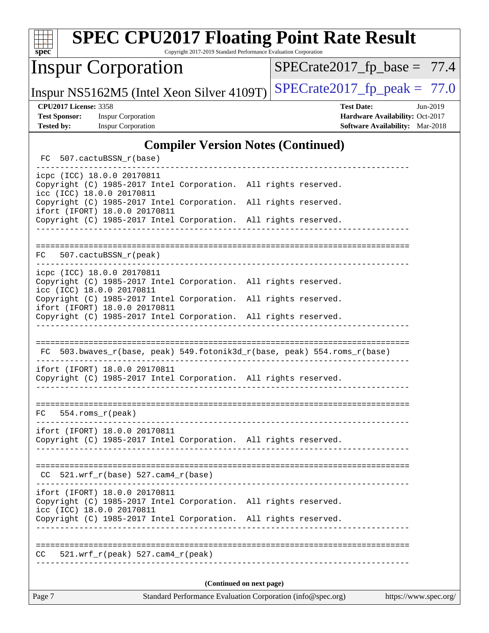| <b>SPEC CPU2017 Floating Point Rate Result</b><br>Copyright 2017-2019 Standard Performance Evaluation Corporation<br>spec <sup>®</sup> |                                                                    |  |  |  |  |  |  |
|----------------------------------------------------------------------------------------------------------------------------------------|--------------------------------------------------------------------|--|--|--|--|--|--|
| <b>Inspur Corporation</b>                                                                                                              | $SPECrate2017_fp\_base = 77.4$                                     |  |  |  |  |  |  |
| Inspur NS5162M5 (Intel Xeon Silver 4109T)                                                                                              | $SPECrate2017_fp\_peak = 77.0$                                     |  |  |  |  |  |  |
| <b>CPU2017 License: 3358</b>                                                                                                           | <b>Test Date:</b><br>Jun-2019                                      |  |  |  |  |  |  |
| <b>Test Sponsor:</b><br><b>Inspur Corporation</b><br><b>Tested by:</b><br><b>Inspur Corporation</b>                                    | Hardware Availability: Oct-2017<br>Software Availability: Mar-2018 |  |  |  |  |  |  |
|                                                                                                                                        |                                                                    |  |  |  |  |  |  |
| <b>Compiler Version Notes (Continued)</b>                                                                                              |                                                                    |  |  |  |  |  |  |
| 507.cactuBSSN_r(base)<br>FC                                                                                                            |                                                                    |  |  |  |  |  |  |
| icpc (ICC) 18.0.0 20170811<br>Copyright (C) 1985-2017 Intel Corporation. All rights reserved.                                          |                                                                    |  |  |  |  |  |  |
| icc (ICC) 18.0.0 20170811<br>Copyright (C) 1985-2017 Intel Corporation. All rights reserved.<br>ifort (IFORT) 18.0.0 20170811          |                                                                    |  |  |  |  |  |  |
| Copyright (C) 1985-2017 Intel Corporation. All rights reserved.                                                                        |                                                                    |  |  |  |  |  |  |
|                                                                                                                                        |                                                                    |  |  |  |  |  |  |
|                                                                                                                                        |                                                                    |  |  |  |  |  |  |
| 507.cactuBSSN r(peak)<br>FC                                                                                                            |                                                                    |  |  |  |  |  |  |
| icpc (ICC) 18.0.0 20170811<br>Copyright (C) 1985-2017 Intel Corporation. All rights reserved.<br>icc (ICC) 18.0.0 20170811             |                                                                    |  |  |  |  |  |  |
| Copyright (C) 1985-2017 Intel Corporation. All rights reserved.                                                                        |                                                                    |  |  |  |  |  |  |
| ifort (IFORT) 18.0.0 20170811<br>Copyright (C) 1985-2017 Intel Corporation. All rights reserved.                                       |                                                                    |  |  |  |  |  |  |
|                                                                                                                                        |                                                                    |  |  |  |  |  |  |
| FC 503.bwaves_r(base, peak) 549.fotonik3d_r(base, peak) 554.roms_r(base)                                                               |                                                                    |  |  |  |  |  |  |
| ifort (IFORT) 18.0.0 20170811<br>Copyright (C) 1985-2017 Intel Corporation. All rights reserved.                                       |                                                                    |  |  |  |  |  |  |
|                                                                                                                                        |                                                                    |  |  |  |  |  |  |
| $554.$ roms $r(\text{peak})$<br>FC                                                                                                     |                                                                    |  |  |  |  |  |  |
| ifort (IFORT) 18.0.0 20170811<br>Copyright (C) 1985-2017 Intel Corporation. All rights reserved.                                       |                                                                    |  |  |  |  |  |  |
| $CC$ 521.wrf_r(base) 527.cam4_r(base)                                                                                                  |                                                                    |  |  |  |  |  |  |
| ifort (IFORT) 18.0.0 20170811                                                                                                          |                                                                    |  |  |  |  |  |  |
| Copyright (C) 1985-2017 Intel Corporation. All rights reserved.<br>icc (ICC) 18.0.0 20170811                                           |                                                                    |  |  |  |  |  |  |
| Copyright (C) 1985-2017 Intel Corporation. All rights reserved.                                                                        |                                                                    |  |  |  |  |  |  |
| $521.wrf_r(peak) 527.camf_r(peak)$<br>CC                                                                                               |                                                                    |  |  |  |  |  |  |
| (Continued on next page)                                                                                                               |                                                                    |  |  |  |  |  |  |
| Page 7<br>Standard Performance Evaluation Corporation (info@spec.org)<br>https://www.spec.org/                                         |                                                                    |  |  |  |  |  |  |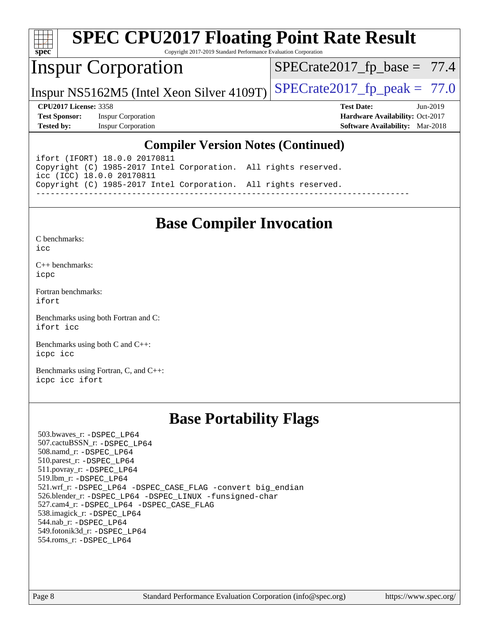

# **[SPEC CPU2017 Floating Point Rate Result](http://www.spec.org/auto/cpu2017/Docs/result-fields.html#SPECCPU2017FloatingPointRateResult)**

Copyright 2017-2019 Standard Performance Evaluation Corporation

## Inspur Corporation

 $SPECTate2017_fp\_base = 77.4$ 

Inspur NS5162M5 (Intel Xeon Silver 4109T) SPECrate  $2017$  fp peak = 77.0

**[Test Sponsor:](http://www.spec.org/auto/cpu2017/Docs/result-fields.html#TestSponsor)** Inspur Corporation **[Hardware Availability:](http://www.spec.org/auto/cpu2017/Docs/result-fields.html#HardwareAvailability)** Oct-2017 **[Tested by:](http://www.spec.org/auto/cpu2017/Docs/result-fields.html#Testedby)** Inspur Corporation **[Software Availability:](http://www.spec.org/auto/cpu2017/Docs/result-fields.html#SoftwareAvailability)** Mar-2018

**[CPU2017 License:](http://www.spec.org/auto/cpu2017/Docs/result-fields.html#CPU2017License)** 3358 **[Test Date:](http://www.spec.org/auto/cpu2017/Docs/result-fields.html#TestDate)** Jun-2019

#### **[Compiler Version Notes \(Continued\)](http://www.spec.org/auto/cpu2017/Docs/result-fields.html#CompilerVersionNotes)**

ifort (IFORT) 18.0.0 20170811 Copyright (C) 1985-2017 Intel Corporation. All rights reserved. icc (ICC) 18.0.0 20170811 Copyright (C) 1985-2017 Intel Corporation. All rights reserved. ------------------------------------------------------------------------------

## **[Base Compiler Invocation](http://www.spec.org/auto/cpu2017/Docs/result-fields.html#BaseCompilerInvocation)**

[C benchmarks](http://www.spec.org/auto/cpu2017/Docs/result-fields.html#Cbenchmarks):  $i$ cc

[C++ benchmarks:](http://www.spec.org/auto/cpu2017/Docs/result-fields.html#CXXbenchmarks) [icpc](http://www.spec.org/cpu2017/results/res2019q3/cpu2017-20190709-16200.flags.html#user_CXXbase_intel_icpc_18.0_c510b6838c7f56d33e37e94d029a35b4a7bccf4766a728ee175e80a419847e808290a9b78be685c44ab727ea267ec2f070ec5dc83b407c0218cded6866a35d07)

[Fortran benchmarks](http://www.spec.org/auto/cpu2017/Docs/result-fields.html#Fortranbenchmarks): [ifort](http://www.spec.org/cpu2017/results/res2019q3/cpu2017-20190709-16200.flags.html#user_FCbase_intel_ifort_18.0_8111460550e3ca792625aed983ce982f94888b8b503583aa7ba2b8303487b4d8a21a13e7191a45c5fd58ff318f48f9492884d4413fa793fd88dd292cad7027ca)

[Benchmarks using both Fortran and C](http://www.spec.org/auto/cpu2017/Docs/result-fields.html#BenchmarksusingbothFortranandC): [ifort](http://www.spec.org/cpu2017/results/res2019q3/cpu2017-20190709-16200.flags.html#user_CC_FCbase_intel_ifort_18.0_8111460550e3ca792625aed983ce982f94888b8b503583aa7ba2b8303487b4d8a21a13e7191a45c5fd58ff318f48f9492884d4413fa793fd88dd292cad7027ca) [icc](http://www.spec.org/cpu2017/results/res2019q3/cpu2017-20190709-16200.flags.html#user_CC_FCbase_intel_icc_18.0_66fc1ee009f7361af1fbd72ca7dcefbb700085f36577c54f309893dd4ec40d12360134090235512931783d35fd58c0460139e722d5067c5574d8eaf2b3e37e92)

[Benchmarks using both C and C++](http://www.spec.org/auto/cpu2017/Docs/result-fields.html#BenchmarksusingbothCandCXX): [icpc](http://www.spec.org/cpu2017/results/res2019q3/cpu2017-20190709-16200.flags.html#user_CC_CXXbase_intel_icpc_18.0_c510b6838c7f56d33e37e94d029a35b4a7bccf4766a728ee175e80a419847e808290a9b78be685c44ab727ea267ec2f070ec5dc83b407c0218cded6866a35d07) [icc](http://www.spec.org/cpu2017/results/res2019q3/cpu2017-20190709-16200.flags.html#user_CC_CXXbase_intel_icc_18.0_66fc1ee009f7361af1fbd72ca7dcefbb700085f36577c54f309893dd4ec40d12360134090235512931783d35fd58c0460139e722d5067c5574d8eaf2b3e37e92)

[Benchmarks using Fortran, C, and C++:](http://www.spec.org/auto/cpu2017/Docs/result-fields.html#BenchmarksusingFortranCandCXX) [icpc](http://www.spec.org/cpu2017/results/res2019q3/cpu2017-20190709-16200.flags.html#user_CC_CXX_FCbase_intel_icpc_18.0_c510b6838c7f56d33e37e94d029a35b4a7bccf4766a728ee175e80a419847e808290a9b78be685c44ab727ea267ec2f070ec5dc83b407c0218cded6866a35d07) [icc](http://www.spec.org/cpu2017/results/res2019q3/cpu2017-20190709-16200.flags.html#user_CC_CXX_FCbase_intel_icc_18.0_66fc1ee009f7361af1fbd72ca7dcefbb700085f36577c54f309893dd4ec40d12360134090235512931783d35fd58c0460139e722d5067c5574d8eaf2b3e37e92) [ifort](http://www.spec.org/cpu2017/results/res2019q3/cpu2017-20190709-16200.flags.html#user_CC_CXX_FCbase_intel_ifort_18.0_8111460550e3ca792625aed983ce982f94888b8b503583aa7ba2b8303487b4d8a21a13e7191a45c5fd58ff318f48f9492884d4413fa793fd88dd292cad7027ca)

## **[Base Portability Flags](http://www.spec.org/auto/cpu2017/Docs/result-fields.html#BasePortabilityFlags)**

 503.bwaves\_r: [-DSPEC\\_LP64](http://www.spec.org/cpu2017/results/res2019q3/cpu2017-20190709-16200.flags.html#suite_basePORTABILITY503_bwaves_r_DSPEC_LP64) 507.cactuBSSN\_r: [-DSPEC\\_LP64](http://www.spec.org/cpu2017/results/res2019q3/cpu2017-20190709-16200.flags.html#suite_basePORTABILITY507_cactuBSSN_r_DSPEC_LP64) 508.namd\_r: [-DSPEC\\_LP64](http://www.spec.org/cpu2017/results/res2019q3/cpu2017-20190709-16200.flags.html#suite_basePORTABILITY508_namd_r_DSPEC_LP64) 510.parest\_r: [-DSPEC\\_LP64](http://www.spec.org/cpu2017/results/res2019q3/cpu2017-20190709-16200.flags.html#suite_basePORTABILITY510_parest_r_DSPEC_LP64) 511.povray\_r: [-DSPEC\\_LP64](http://www.spec.org/cpu2017/results/res2019q3/cpu2017-20190709-16200.flags.html#suite_basePORTABILITY511_povray_r_DSPEC_LP64) 519.lbm\_r: [-DSPEC\\_LP64](http://www.spec.org/cpu2017/results/res2019q3/cpu2017-20190709-16200.flags.html#suite_basePORTABILITY519_lbm_r_DSPEC_LP64) 521.wrf\_r: [-DSPEC\\_LP64](http://www.spec.org/cpu2017/results/res2019q3/cpu2017-20190709-16200.flags.html#suite_basePORTABILITY521_wrf_r_DSPEC_LP64) [-DSPEC\\_CASE\\_FLAG](http://www.spec.org/cpu2017/results/res2019q3/cpu2017-20190709-16200.flags.html#b521.wrf_r_baseCPORTABILITY_DSPEC_CASE_FLAG) [-convert big\\_endian](http://www.spec.org/cpu2017/results/res2019q3/cpu2017-20190709-16200.flags.html#user_baseFPORTABILITY521_wrf_r_convert_big_endian_c3194028bc08c63ac5d04de18c48ce6d347e4e562e8892b8bdbdc0214820426deb8554edfa529a3fb25a586e65a3d812c835984020483e7e73212c4d31a38223) 526.blender\_r: [-DSPEC\\_LP64](http://www.spec.org/cpu2017/results/res2019q3/cpu2017-20190709-16200.flags.html#suite_basePORTABILITY526_blender_r_DSPEC_LP64) [-DSPEC\\_LINUX](http://www.spec.org/cpu2017/results/res2019q3/cpu2017-20190709-16200.flags.html#b526.blender_r_baseCPORTABILITY_DSPEC_LINUX) [-funsigned-char](http://www.spec.org/cpu2017/results/res2019q3/cpu2017-20190709-16200.flags.html#user_baseCPORTABILITY526_blender_r_force_uchar_40c60f00ab013830e2dd6774aeded3ff59883ba5a1fc5fc14077f794d777847726e2a5858cbc7672e36e1b067e7e5c1d9a74f7176df07886a243d7cc18edfe67) 527.cam4\_r: [-DSPEC\\_LP64](http://www.spec.org/cpu2017/results/res2019q3/cpu2017-20190709-16200.flags.html#suite_basePORTABILITY527_cam4_r_DSPEC_LP64) [-DSPEC\\_CASE\\_FLAG](http://www.spec.org/cpu2017/results/res2019q3/cpu2017-20190709-16200.flags.html#b527.cam4_r_baseCPORTABILITY_DSPEC_CASE_FLAG) 538.imagick\_r: [-DSPEC\\_LP64](http://www.spec.org/cpu2017/results/res2019q3/cpu2017-20190709-16200.flags.html#suite_basePORTABILITY538_imagick_r_DSPEC_LP64) 544.nab\_r: [-DSPEC\\_LP64](http://www.spec.org/cpu2017/results/res2019q3/cpu2017-20190709-16200.flags.html#suite_basePORTABILITY544_nab_r_DSPEC_LP64) 549.fotonik3d\_r: [-DSPEC\\_LP64](http://www.spec.org/cpu2017/results/res2019q3/cpu2017-20190709-16200.flags.html#suite_basePORTABILITY549_fotonik3d_r_DSPEC_LP64) 554.roms\_r: [-DSPEC\\_LP64](http://www.spec.org/cpu2017/results/res2019q3/cpu2017-20190709-16200.flags.html#suite_basePORTABILITY554_roms_r_DSPEC_LP64)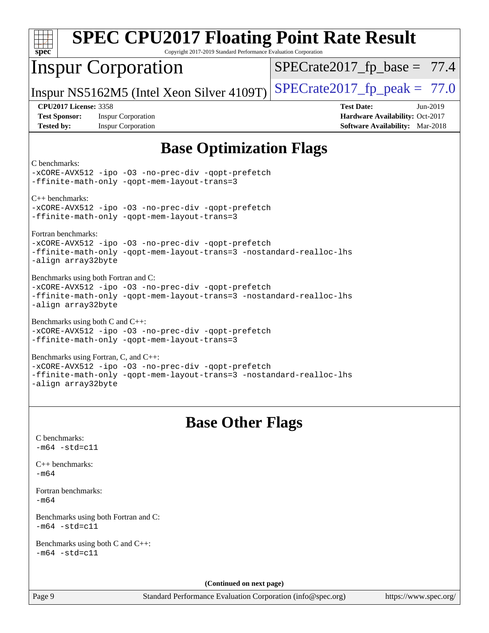| <b>SPEC CPU2017 Floating Point Rate Result</b>                                                                                                                                           |                                                                                                            |  |  |  |  |  |  |  |
|------------------------------------------------------------------------------------------------------------------------------------------------------------------------------------------|------------------------------------------------------------------------------------------------------------|--|--|--|--|--|--|--|
| $\overline{\text{spec}^*}$<br>Copyright 2017-2019 Standard Performance Evaluation Corporation                                                                                            |                                                                                                            |  |  |  |  |  |  |  |
| <b>Inspur Corporation</b>                                                                                                                                                                | $SPECrate2017_fp\_base = 77.4$                                                                             |  |  |  |  |  |  |  |
| Inspur NS5162M5 (Intel Xeon Silver 4109T)                                                                                                                                                | $SPECrate2017_fp\_peak = 77.0$                                                                             |  |  |  |  |  |  |  |
| <b>CPU2017 License: 3358</b><br><b>Test Sponsor:</b><br><b>Inspur Corporation</b><br><b>Tested by:</b><br><b>Inspur Corporation</b>                                                      | <b>Test Date:</b><br>Jun-2019<br>Hardware Availability: Oct-2017<br><b>Software Availability:</b> Mar-2018 |  |  |  |  |  |  |  |
| <b>Base Optimization Flags</b>                                                                                                                                                           |                                                                                                            |  |  |  |  |  |  |  |
| C benchmarks:<br>-xCORE-AVX512 -ipo -03 -no-prec-div -qopt-prefetch<br>-ffinite-math-only -gopt-mem-layout-trans=3                                                                       |                                                                                                            |  |  |  |  |  |  |  |
| $C_{++}$ benchmarks:<br>-xCORE-AVX512 -ipo -03 -no-prec-div -qopt-prefetch<br>-ffinite-math-only -qopt-mem-layout-trans=3                                                                |                                                                                                            |  |  |  |  |  |  |  |
| Fortran benchmarks:<br>-xCORE-AVX512 -ipo -03 -no-prec-div -qopt-prefetch<br>-ffinite-math-only -qopt-mem-layout-trans=3 -nostandard-realloc-lhs<br>-align array32byte                   |                                                                                                            |  |  |  |  |  |  |  |
| Benchmarks using both Fortran and C:<br>-xCORE-AVX512 -ipo -03 -no-prec-div -qopt-prefetch<br>-ffinite-math-only -qopt-mem-layout-trans=3 -nostandard-realloc-lhs<br>-align array32byte  |                                                                                                            |  |  |  |  |  |  |  |
| Benchmarks using both C and C++:<br>-xCORE-AVX512 -ipo -03 -no-prec-div -qopt-prefetch<br>-ffinite-math-only -gopt-mem-layout-trans=3                                                    |                                                                                                            |  |  |  |  |  |  |  |
| Benchmarks using Fortran, C, and C++:<br>-xCORE-AVX512 -ipo -03 -no-prec-div -qopt-prefetch<br>-ffinite-math-only -qopt-mem-layout-trans=3 -nostandard-realloc-lhs<br>-align array32byte |                                                                                                            |  |  |  |  |  |  |  |
| <b>Base Other Flags</b>                                                                                                                                                                  |                                                                                                            |  |  |  |  |  |  |  |
| C benchmarks:<br>$-m64 - std= c11$                                                                                                                                                       |                                                                                                            |  |  |  |  |  |  |  |
| $C_{++}$ benchmarks:<br>$-m64$                                                                                                                                                           |                                                                                                            |  |  |  |  |  |  |  |
| Fortran benchmarks:<br>$-m64$                                                                                                                                                            |                                                                                                            |  |  |  |  |  |  |  |
| Benchmarks using both Fortran and C:<br>$-m64 - std= c11$                                                                                                                                |                                                                                                            |  |  |  |  |  |  |  |
| Benchmarks using both C and C++:<br>$-m64 - std= c11$                                                                                                                                    |                                                                                                            |  |  |  |  |  |  |  |
| (Continued on next page)                                                                                                                                                                 |                                                                                                            |  |  |  |  |  |  |  |
| Page 9<br>Standard Performance Evaluation Corporation (info@spec.org)                                                                                                                    | https://www.spec.org/                                                                                      |  |  |  |  |  |  |  |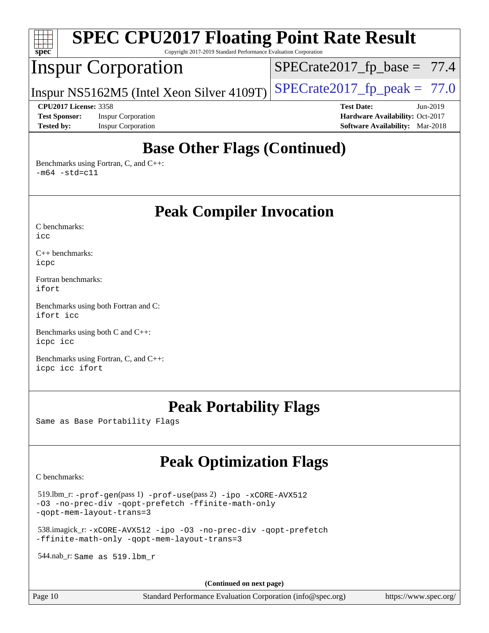

## **[Base Other Flags \(Continued\)](http://www.spec.org/auto/cpu2017/Docs/result-fields.html#BaseOtherFlags)**

[Benchmarks using Fortran, C, and C++:](http://www.spec.org/auto/cpu2017/Docs/result-fields.html#BenchmarksusingFortranCandCXX)  $-m64$   $-std=cl1$ 

**[Peak Compiler Invocation](http://www.spec.org/auto/cpu2017/Docs/result-fields.html#PeakCompilerInvocation)**

[C benchmarks](http://www.spec.org/auto/cpu2017/Docs/result-fields.html#Cbenchmarks):  $i$ cc

[C++ benchmarks:](http://www.spec.org/auto/cpu2017/Docs/result-fields.html#CXXbenchmarks) [icpc](http://www.spec.org/cpu2017/results/res2019q3/cpu2017-20190709-16200.flags.html#user_CXXpeak_intel_icpc_18.0_c510b6838c7f56d33e37e94d029a35b4a7bccf4766a728ee175e80a419847e808290a9b78be685c44ab727ea267ec2f070ec5dc83b407c0218cded6866a35d07)

[Fortran benchmarks](http://www.spec.org/auto/cpu2017/Docs/result-fields.html#Fortranbenchmarks): [ifort](http://www.spec.org/cpu2017/results/res2019q3/cpu2017-20190709-16200.flags.html#user_FCpeak_intel_ifort_18.0_8111460550e3ca792625aed983ce982f94888b8b503583aa7ba2b8303487b4d8a21a13e7191a45c5fd58ff318f48f9492884d4413fa793fd88dd292cad7027ca)

[Benchmarks using both Fortran and C](http://www.spec.org/auto/cpu2017/Docs/result-fields.html#BenchmarksusingbothFortranandC): [ifort](http://www.spec.org/cpu2017/results/res2019q3/cpu2017-20190709-16200.flags.html#user_CC_FCpeak_intel_ifort_18.0_8111460550e3ca792625aed983ce982f94888b8b503583aa7ba2b8303487b4d8a21a13e7191a45c5fd58ff318f48f9492884d4413fa793fd88dd292cad7027ca) [icc](http://www.spec.org/cpu2017/results/res2019q3/cpu2017-20190709-16200.flags.html#user_CC_FCpeak_intel_icc_18.0_66fc1ee009f7361af1fbd72ca7dcefbb700085f36577c54f309893dd4ec40d12360134090235512931783d35fd58c0460139e722d5067c5574d8eaf2b3e37e92)

[Benchmarks using both C and C++](http://www.spec.org/auto/cpu2017/Docs/result-fields.html#BenchmarksusingbothCandCXX): [icpc](http://www.spec.org/cpu2017/results/res2019q3/cpu2017-20190709-16200.flags.html#user_CC_CXXpeak_intel_icpc_18.0_c510b6838c7f56d33e37e94d029a35b4a7bccf4766a728ee175e80a419847e808290a9b78be685c44ab727ea267ec2f070ec5dc83b407c0218cded6866a35d07) [icc](http://www.spec.org/cpu2017/results/res2019q3/cpu2017-20190709-16200.flags.html#user_CC_CXXpeak_intel_icc_18.0_66fc1ee009f7361af1fbd72ca7dcefbb700085f36577c54f309893dd4ec40d12360134090235512931783d35fd58c0460139e722d5067c5574d8eaf2b3e37e92)

[Benchmarks using Fortran, C, and C++:](http://www.spec.org/auto/cpu2017/Docs/result-fields.html#BenchmarksusingFortranCandCXX) [icpc](http://www.spec.org/cpu2017/results/res2019q3/cpu2017-20190709-16200.flags.html#user_CC_CXX_FCpeak_intel_icpc_18.0_c510b6838c7f56d33e37e94d029a35b4a7bccf4766a728ee175e80a419847e808290a9b78be685c44ab727ea267ec2f070ec5dc83b407c0218cded6866a35d07) [icc](http://www.spec.org/cpu2017/results/res2019q3/cpu2017-20190709-16200.flags.html#user_CC_CXX_FCpeak_intel_icc_18.0_66fc1ee009f7361af1fbd72ca7dcefbb700085f36577c54f309893dd4ec40d12360134090235512931783d35fd58c0460139e722d5067c5574d8eaf2b3e37e92) [ifort](http://www.spec.org/cpu2017/results/res2019q3/cpu2017-20190709-16200.flags.html#user_CC_CXX_FCpeak_intel_ifort_18.0_8111460550e3ca792625aed983ce982f94888b8b503583aa7ba2b8303487b4d8a21a13e7191a45c5fd58ff318f48f9492884d4413fa793fd88dd292cad7027ca)

## **[Peak Portability Flags](http://www.spec.org/auto/cpu2017/Docs/result-fields.html#PeakPortabilityFlags)**

Same as Base Portability Flags

## **[Peak Optimization Flags](http://www.spec.org/auto/cpu2017/Docs/result-fields.html#PeakOptimizationFlags)**

[C benchmarks](http://www.spec.org/auto/cpu2017/Docs/result-fields.html#Cbenchmarks):

 519.lbm\_r: [-prof-gen](http://www.spec.org/cpu2017/results/res2019q3/cpu2017-20190709-16200.flags.html#user_peakPASS1_CFLAGSPASS1_LDFLAGS519_lbm_r_prof_gen_5aa4926d6013ddb2a31985c654b3eb18169fc0c6952a63635c234f711e6e63dd76e94ad52365559451ec499a2cdb89e4dc58ba4c67ef54ca681ffbe1461d6b36)(pass 1) [-prof-use](http://www.spec.org/cpu2017/results/res2019q3/cpu2017-20190709-16200.flags.html#user_peakPASS2_CFLAGSPASS2_LDFLAGS519_lbm_r_prof_use_1a21ceae95f36a2b53c25747139a6c16ca95bd9def2a207b4f0849963b97e94f5260e30a0c64f4bb623698870e679ca08317ef8150905d41bd88c6f78df73f19)(pass 2) [-ipo](http://www.spec.org/cpu2017/results/res2019q3/cpu2017-20190709-16200.flags.html#user_peakPASS1_COPTIMIZEPASS2_COPTIMIZE519_lbm_r_f-ipo) [-xCORE-AVX512](http://www.spec.org/cpu2017/results/res2019q3/cpu2017-20190709-16200.flags.html#user_peakPASS2_COPTIMIZE519_lbm_r_f-xCORE-AVX512) [-O3](http://www.spec.org/cpu2017/results/res2019q3/cpu2017-20190709-16200.flags.html#user_peakPASS1_COPTIMIZEPASS2_COPTIMIZE519_lbm_r_f-O3) [-no-prec-div](http://www.spec.org/cpu2017/results/res2019q3/cpu2017-20190709-16200.flags.html#user_peakPASS1_COPTIMIZEPASS2_COPTIMIZE519_lbm_r_f-no-prec-div) [-qopt-prefetch](http://www.spec.org/cpu2017/results/res2019q3/cpu2017-20190709-16200.flags.html#user_peakPASS1_COPTIMIZEPASS2_COPTIMIZE519_lbm_r_f-qopt-prefetch) [-ffinite-math-only](http://www.spec.org/cpu2017/results/res2019q3/cpu2017-20190709-16200.flags.html#user_peakPASS1_COPTIMIZEPASS2_COPTIMIZE519_lbm_r_f_finite_math_only_cb91587bd2077682c4b38af759c288ed7c732db004271a9512da14a4f8007909a5f1427ecbf1a0fb78ff2a814402c6114ac565ca162485bbcae155b5e4258871) [-qopt-mem-layout-trans=3](http://www.spec.org/cpu2017/results/res2019q3/cpu2017-20190709-16200.flags.html#user_peakPASS1_COPTIMIZEPASS2_COPTIMIZE519_lbm_r_f-qopt-mem-layout-trans_de80db37974c74b1f0e20d883f0b675c88c3b01e9d123adea9b28688d64333345fb62bc4a798493513fdb68f60282f9a726aa07f478b2f7113531aecce732043)

 538.imagick\_r: [-xCORE-AVX512](http://www.spec.org/cpu2017/results/res2019q3/cpu2017-20190709-16200.flags.html#user_peakCOPTIMIZE538_imagick_r_f-xCORE-AVX512) [-ipo](http://www.spec.org/cpu2017/results/res2019q3/cpu2017-20190709-16200.flags.html#user_peakCOPTIMIZE538_imagick_r_f-ipo) [-O3](http://www.spec.org/cpu2017/results/res2019q3/cpu2017-20190709-16200.flags.html#user_peakCOPTIMIZE538_imagick_r_f-O3) [-no-prec-div](http://www.spec.org/cpu2017/results/res2019q3/cpu2017-20190709-16200.flags.html#user_peakCOPTIMIZE538_imagick_r_f-no-prec-div) [-qopt-prefetch](http://www.spec.org/cpu2017/results/res2019q3/cpu2017-20190709-16200.flags.html#user_peakCOPTIMIZE538_imagick_r_f-qopt-prefetch) [-ffinite-math-only](http://www.spec.org/cpu2017/results/res2019q3/cpu2017-20190709-16200.flags.html#user_peakCOPTIMIZE538_imagick_r_f_finite_math_only_cb91587bd2077682c4b38af759c288ed7c732db004271a9512da14a4f8007909a5f1427ecbf1a0fb78ff2a814402c6114ac565ca162485bbcae155b5e4258871) [-qopt-mem-layout-trans=3](http://www.spec.org/cpu2017/results/res2019q3/cpu2017-20190709-16200.flags.html#user_peakCOPTIMIZE538_imagick_r_f-qopt-mem-layout-trans_de80db37974c74b1f0e20d883f0b675c88c3b01e9d123adea9b28688d64333345fb62bc4a798493513fdb68f60282f9a726aa07f478b2f7113531aecce732043)

544.nab\_r: Same as 519.lbm\_r

**(Continued on next page)**

Page 10 Standard Performance Evaluation Corporation [\(info@spec.org\)](mailto:info@spec.org) <https://www.spec.org/>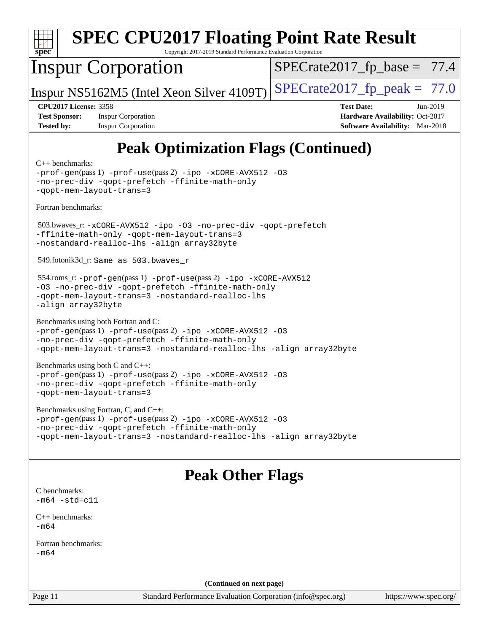

Page 11 Standard Performance Evaluation Corporation [\(info@spec.org\)](mailto:info@spec.org) <https://www.spec.org/>